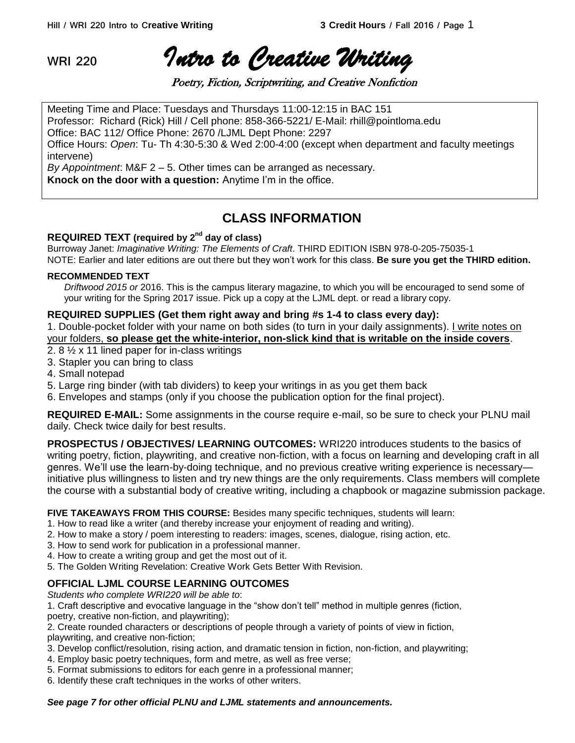**WRI 220** *Intro to Creative Writing* 

Poetry, Fiction, Scriptwriting, and Creative Nonfiction

Meeting Time and Place: Tuesdays and Thursdays 11:00-12:15 in BAC 151 Professor: Richard (Rick) Hill / Cell phone: 858-366-5221/ E-Mail: rhill@pointloma.edu Office: BAC 112/ Office Phone: 2670 /LJML Dept Phone: 2297 Office Hours: *Open*: Tu- Th 4:30-5:30 & Wed 2:00-4:00 (except when department and faculty meetings intervene)

*By Appointment*: M&F 2 – 5. Other times can be arranged as necessary. **Knock on the door with a question:** Anytime I'm in the office.

# **CLASS INFORMATION**

# **REQUIRED TEXT (required by 2nd day of class)**

Burroway Janet: *Imaginative Writing: The Elements of Craft*. THIRD EDITION ISBN 978-0-205-75035-1 NOTE: Earlier and later editions are out there but they won't work for this class. **Be sure you get the THIRD edition.**

## **RECOMMENDED TEXT**

*Driftwood 2015 or* 2016. This is the campus literary magazine, to which you will be encouraged to send some of your writing for the Spring 2017 issue. Pick up a copy at the LJML dept. or read a library copy.

## **REQUIRED SUPPLIES (Get them right away and bring #s 1-4 to class every day):**

1. Double-pocket folder with your name on both sides (to turn in your daily assignments). I write notes on your folders, **so please get the white-interior, non-slick kind that is writable on the inside covers**.

- 2. 8 ½ x 11 lined paper for in-class writings
- 3. Stapler you can bring to class
- 4. Small notepad
- 5. Large ring binder (with tab dividers) to keep your writings in as you get them back
- 6. Envelopes and stamps (only if you choose the publication option for the final project).

**REQUIRED E-MAIL:** Some assignments in the course require e-mail, so be sure to check your PLNU mail daily. Check twice daily for best results.

**PROSPECTUS / OBJECTIVES/ LEARNING OUTCOMES:** WRI220 introduces students to the basics of writing poetry, fiction, playwriting, and creative non-fiction, with a focus on learning and developing craft in all genres. We'll use the learn-by-doing technique, and no previous creative writing experience is necessary initiative plus willingness to listen and try new things are the only requirements. Class members will complete the course with a substantial body of creative writing, including a chapbook or magazine submission package.

**FIVE TAKEAWAYS FROM THIS COURSE:** Besides many specific techniques, students will learn:

- 1. How to read like a writer (and thereby increase your enjoyment of reading and writing).
- 2. How to make a story / poem interesting to readers: images, scenes, dialogue, rising action, etc.
- 3. How to send work for publication in a professional manner.
- 4. How to create a writing group and get the most out of it.
- 5. The Golden Writing Revelation: Creative Work Gets Better With Revision.

# **OFFICIAL LJML COURSE LEARNING OUTCOMES**

*Students who complete WRI220 will be able to*:

1. Craft descriptive and evocative language in the "show don't tell" method in multiple genres (fiction,

poetry, creative non-fiction, and playwriting);

2. Create rounded characters or descriptions of people through a variety of points of view in fiction,

playwriting, and creative non-fiction;

- 3. Develop conflict/resolution, rising action, and dramatic tension in fiction, non-fiction, and playwriting;
- 4. Employ basic poetry techniques, form and metre, as well as free verse;
- 5. Format submissions to editors for each genre in a professional manner;
- 6. Identify these craft techniques in the works of other writers.

## *See page 7 for other official PLNU and LJML statements and announcements.*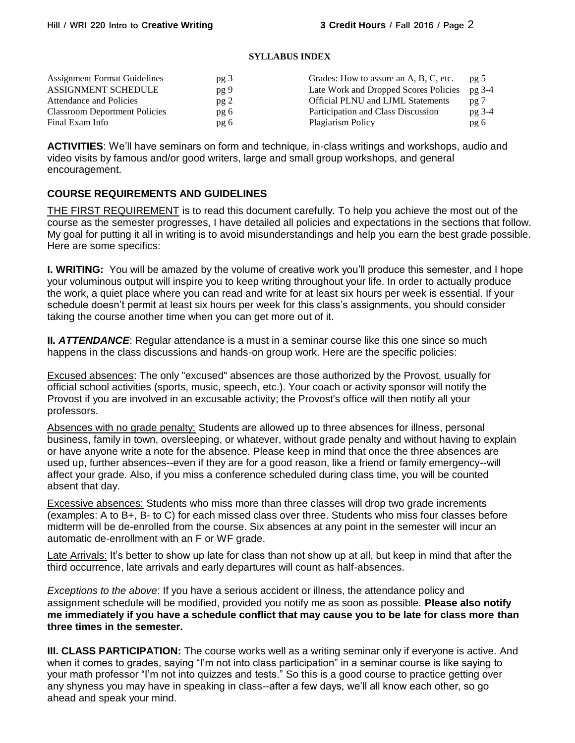#### **SYLLABUS INDEX**

| <b>Assignment Format Guidelines</b>  | pg <sub>3</sub> | Grades: How to assure an A, B, C, etc.   | pg <sub>5</sub> |
|--------------------------------------|-----------------|------------------------------------------|-----------------|
| ASSIGNMENT SCHEDULE                  | pg 9            | Late Work and Dropped Scores Policies    | pg 3-4          |
| Attendance and Policies              | pg2             | <b>Official PLNU and LJML Statements</b> | pg 7            |
| <b>Classroom Deportment Policies</b> | pg 6            | Participation and Class Discussion       | pg 3-4          |
| Final Exam Info                      | pg 6            | Plagiarism Policy                        | pg 6            |

**ACTIVITIES**: We'll have seminars on form and technique, in-class writings and workshops, audio and video visits by famous and/or good writers, large and small group workshops, and general encouragement.

# **COURSE REQUIREMENTS AND GUIDELINES**

THE FIRST REQUIREMENT is to read this document carefully. To help you achieve the most out of the course as the semester progresses, I have detailed all policies and expectations in the sections that follow. My goal for putting it all in writing is to avoid misunderstandings and help you earn the best grade possible. Here are some specifics:

**I. WRITING:** You will be amazed by the volume of creative work you'll produce this semester, and I hope your voluminous output will inspire you to keep writing throughout your life. In order to actually produce the work, a quiet place where you can read and write for at least six hours per week is essential. If your schedule doesn't permit at least six hours per week for this class's assignments, you should consider taking the course another time when you can get more out of it.

**II**. **ATTENDANCE**: Regular attendance is a must in a seminar course like this one since so much happens in the class discussions and hands-on group work. Here are the specific policies:

Excused absences: The only "excused" absences are those authorized by the Provost, usually for official school activities (sports, music, speech, etc.). Your coach or activity sponsor will notify the Provost if you are involved in an excusable activity; the Provost's office will then notify all your professors.

Absences with no grade penalty: Students are allowed up to three absences for illness, personal business, family in town, oversleeping, or whatever, without grade penalty and without having to explain or have anyone write a note for the absence. Please keep in mind that once the three absences are used up, further absences--even if they are for a good reason, like a friend or family emergency--will affect your grade. Also, if you miss a conference scheduled during class time, you will be counted absent that day.

Excessive absences: Students who miss more than three classes will drop two grade increments (examples: A to B+, B- to C) for each missed class over three. Students who miss four classes before midterm will be de-enrolled from the course. Six absences at any point in the semester will incur an automatic de-enrollment with an F or WF grade.

Late Arrivals: It's better to show up late for class than not show up at all, but keep in mind that after the third occurrence, late arrivals and early departures will count as half-absences.

*Exceptions to the above*: If you have a serious accident or illness, the attendance policy and assignment schedule will be modified, provided you notify me as soon as possible. **Please also notify me immediately if you have a schedule conflict that may cause you to be late for class more than three times in the semester.** 

**III. CLASS PARTICIPATION:** The course works well as a writing seminar only if everyone is active. And when it comes to grades, saying "I'm not into class participation" in a seminar course is like saying to your math professor "I'm not into quizzes and tests." So this is a good course to practice getting over any shyness you may have in speaking in class--after a few days, we'll all know each other, so go ahead and speak your mind.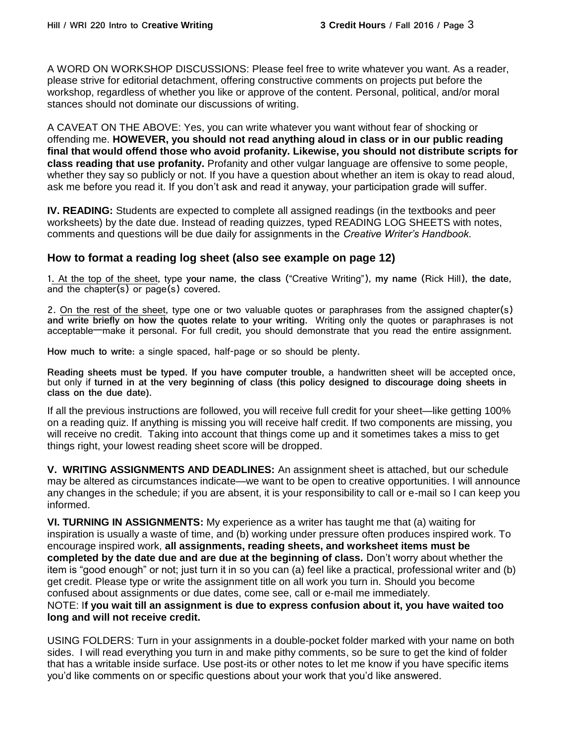A WORD ON WORKSHOP DISCUSSIONS: Please feel free to write whatever you want. As a reader, please strive for editorial detachment, offering constructive comments on projects put before the workshop, regardless of whether you like or approve of the content. Personal, political, and/or moral stances should not dominate our discussions of writing.

A CAVEAT ON THE ABOVE: Yes, you can write whatever you want without fear of shocking or offending me. **HOWEVER, you should not read anything aloud in class or in our public reading final that would offend those who avoid profanity. Likewise, you should not distribute scripts for class reading that use profanity.** Profanity and other vulgar language are offensive to some people, whether they say so publicly or not. If you have a question about whether an item is okay to read aloud, ask me before you read it. If you don't ask and read it anyway, your participation grade will suffer.

**IV. READING:** Students are expected to complete all assigned readings (in the textbooks and peer worksheets) by the date due. Instead of reading quizzes, typed READING LOG SHEETS with notes, comments and questions will be due daily for assignments in the *Creative Writer's Handbook.*

# **How to format a reading log sheet (also see example on page 12)**

1. At the top of the sheet, type **your name**, **the class** ("Creative Writing"), **my name** (Rick Hill), **the date**, and the chapter(s) or page(s) covered.

2. On the rest of the sheet, type one or two valuable quotes or paraphrases from the assigned chapter(s) **and write briefly on how the quotes relate to your writing.** Writing only the quotes or paraphrases is not acceptable—make it personal. For full credit, you should demonstrate that you read the entire assignment.

**How much to write**: a single spaced, half-page or so should be plenty.

**Reading sheets must be typed. If you have computer trouble,** a handwritten sheet will be accepted once, but only if **turned in at the very beginning of class (this policy designed to discourage doing sheets in class on the due date).**

If all the previous instructions are followed, you will receive full credit for your sheet—like getting 100% on a reading quiz. If anything is missing you will receive half credit. If two components are missing, you will receive no credit. Taking into account that things come up and it sometimes takes a miss to get things right, your lowest reading sheet score will be dropped.

**V. WRITING ASSIGNMENTS AND DEADLINES:** An assignment sheet is attached, but our schedule may be altered as circumstances indicate—we want to be open to creative opportunities. I will announce any changes in the schedule; if you are absent, it is your responsibility to call or e-mail so I can keep you informed.

**VI. TURNING IN ASSIGNMENTS:** My experience as a writer has taught me that (a) waiting for inspiration is usually a waste of time, and (b) working under pressure often produces inspired work. To encourage inspired work, **all assignments, reading sheets, and worksheet items must be completed by the date due and are due at the beginning of class.** Don't worry about whether the item is "good enough" or not; just turn it in so you can (a) feel like a practical, professional writer and (b) get credit. Please type or write the assignment title on all work you turn in. Should you become confused about assignments or due dates, come see, call or e-mail me immediately.

## NOTE: I**f you wait till an assignment is due to express confusion about it, you have waited too long and will not receive credit.**

USING FOLDERS: Turn in your assignments in a double-pocket folder marked with your name on both sides. I will read everything you turn in and make pithy comments, so be sure to get the kind of folder that has a writable inside surface. Use post-its or other notes to let me know if you have specific items you'd like comments on or specific questions about your work that you'd like answered.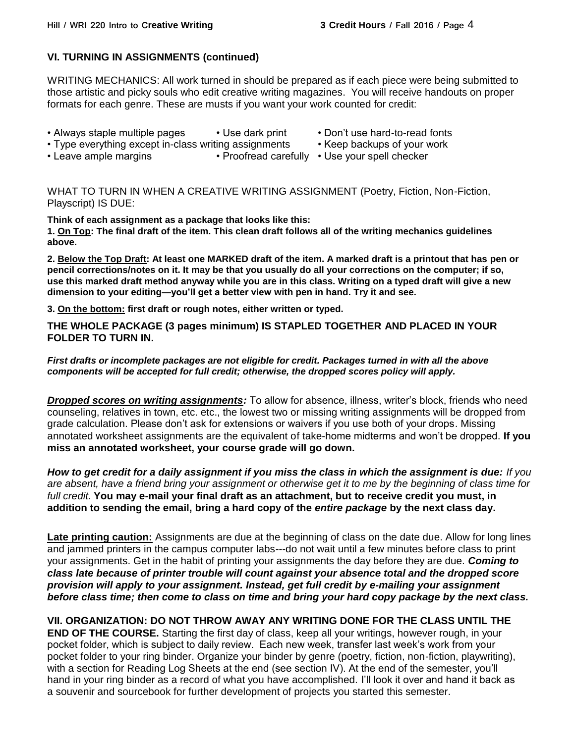# **VI. TURNING IN ASSIGNMENTS (continued)**

WRITING MECHANICS: All work turned in should be prepared as if each piece were being submitted to those artistic and picky souls who edit creative writing magazines. You will receive handouts on proper formats for each genre. These are musts if you want your work counted for credit:

- Always staple multiple pages Use dark print Don't use hard-to-read fonts
- Type everything except in-class writing assignments Keep backups of your work
- -
- Leave ample margins Proofread carefully Use your spell checker

WHAT TO TURN IN WHEN A CREATIVE WRITING ASSIGNMENT (Poetry, Fiction, Non-Fiction, Playscript) IS DUE:

**Think of each assignment as a package that looks like this:**

**1. On Top: The final draft of the item. This clean draft follows all of the writing mechanics guidelines above.**

**2. Below the Top Draft: At least one MARKED draft of the item. A marked draft is a printout that has pen or pencil corrections/notes on it. It may be that you usually do all your corrections on the computer; if so, use this marked draft method anyway while you are in this class. Writing on a typed draft will give a new dimension to your editing—you'll get a better view with pen in hand. Try it and see.**

**3. On the bottom: first draft or rough notes, either written or typed.**

**THE WHOLE PACKAGE (3 pages minimum) IS STAPLED TOGETHER AND PLACED IN YOUR FOLDER TO TURN IN.**

## *First drafts or incomplete packages are not eligible for credit. Packages turned in with all the above components will be accepted for full credit; otherwise, the dropped scores policy will apply.*

*Dropped scores on writing assignments:* To allow for absence, illness, writer's block, friends who need counseling, relatives in town, etc. etc., the lowest two or missing writing assignments will be dropped from grade calculation. Please don't ask for extensions or waivers if you use both of your drops. Missing annotated worksheet assignments are the equivalent of take-home midterms and won't be dropped. **If you miss an annotated worksheet, your course grade will go down.**

*How to get credit for a daily assignment if you miss the class in which the assignment is due: If you are absent, have a friend bring your assignment or otherwise get it to me by the beginning of class time for full credit.* **You may e-mail your final draft as an attachment, but to receive credit you must, in addition to sending the email, bring a hard copy of the** *entire package* **by the next class day.**

**Late printing caution:** Assignments are due at the beginning of class on the date due. Allow for long lines and jammed printers in the campus computer labs---do not wait until a few minutes before class to print your assignments. Get in the habit of printing your assignments the day before they are due. *Coming to class late because of printer trouble will count against your absence total and the dropped score provision will apply to your assignment. Instead, get full credit by e-mailing your assignment before class time; then come to class on time and bring your hard copy package by the next class.* 

**VII. ORGANIZATION: DO NOT THROW AWAY ANY WRITING DONE FOR THE CLASS UNTIL THE END OF THE COURSE.** Starting the first day of class, keep all your writings, however rough, in your pocket folder, which is subject to daily review. Each new week, transfer last week's work from your pocket folder to your ring binder. Organize your binder by genre (poetry, fiction, non-fiction, playwriting), with a section for Reading Log Sheets at the end (see section IV). At the end of the semester, you'll hand in your ring binder as a record of what you have accomplished. I'll look it over and hand it back as a souvenir and sourcebook for further development of projects you started this semester.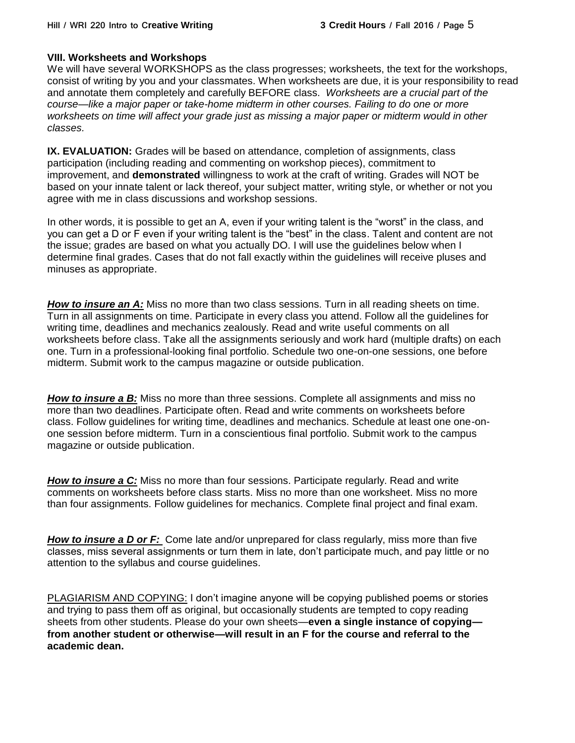# **VIII. Worksheets and Workshops**

We will have several WORKSHOPS as the class progresses; worksheets, the text for the workshops, consist of writing by you and your classmates. When worksheets are due, it is your responsibility to read and annotate them completely and carefully BEFORE class. *Worksheets are a crucial part of the course—like a major paper or take-home midterm in other courses. Failing to do one or more worksheets on time will affect your grade just as missing a major paper or midterm would in other classes.*

**IX. EVALUATION:** Grades will be based on attendance, completion of assignments, class participation (including reading and commenting on workshop pieces), commitment to improvement, and **demonstrated** willingness to work at the craft of writing. Grades will NOT be based on your innate talent or lack thereof, your subject matter, writing style, or whether or not you agree with me in class discussions and workshop sessions.

In other words, it is possible to get an A, even if your writing talent is the "worst" in the class, and you can get a D or F even if your writing talent is the "best" in the class. Talent and content are not the issue; grades are based on what you actually DO. I will use the guidelines below when I determine final grades. Cases that do not fall exactly within the guidelines will receive pluses and minuses as appropriate.

**How to insure an A:** Miss no more than two class sessions. Turn in all reading sheets on time. Turn in all assignments on time. Participate in every class you attend. Follow all the guidelines for writing time, deadlines and mechanics zealously. Read and write useful comments on all worksheets before class. Take all the assignments seriously and work hard (multiple drafts) on each one. Turn in a professional-looking final portfolio. Schedule two one-on-one sessions, one before midterm. Submit work to the campus magazine or outside publication.

*How to insure a B:* Miss no more than three sessions. Complete all assignments and miss no more than two deadlines. Participate often. Read and write comments on worksheets before class. Follow guidelines for writing time, deadlines and mechanics. Schedule at least one one-onone session before midterm. Turn in a conscientious final portfolio. Submit work to the campus magazine or outside publication.

*How to insure a C:* Miss no more than four sessions. Participate regularly. Read and write comments on worksheets before class starts. Miss no more than one worksheet. Miss no more than four assignments. Follow guidelines for mechanics. Complete final project and final exam.

*How to insure a D or F:* Come late and/or unprepared for class regularly, miss more than five classes, miss several assignments or turn them in late, don't participate much, and pay little or no attention to the syllabus and course guidelines.

PLAGIARISM AND COPYING: I don't imagine anyone will be copying published poems or stories and trying to pass them off as original, but occasionally students are tempted to copy reading sheets from other students. Please do your own sheets—**even a single instance of copying from another student or otherwise—will result in an F for the course and referral to the academic dean.**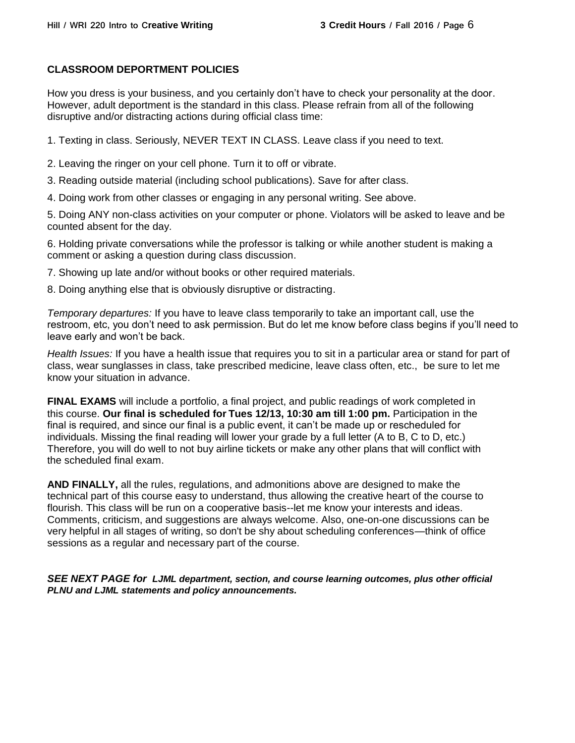# **CLASSROOM DEPORTMENT POLICIES**

How you dress is your business, and you certainly don't have to check your personality at the door. However, adult deportment is the standard in this class. Please refrain from all of the following disruptive and/or distracting actions during official class time:

1. Texting in class. Seriously, NEVER TEXT IN CLASS. Leave class if you need to text.

2. Leaving the ringer on your cell phone. Turn it to off or vibrate.

3. Reading outside material (including school publications). Save for after class.

4. Doing work from other classes or engaging in any personal writing. See above.

5. Doing ANY non-class activities on your computer or phone. Violators will be asked to leave and be counted absent for the day.

6. Holding private conversations while the professor is talking or while another student is making a comment or asking a question during class discussion.

7. Showing up late and/or without books or other required materials.

8. Doing anything else that is obviously disruptive or distracting.

*Temporary departures:* If you have to leave class temporarily to take an important call, use the restroom, etc, you don't need to ask permission. But do let me know before class begins if you'll need to leave early and won't be back.

*Health Issues:* If you have a health issue that requires you to sit in a particular area or stand for part of class, wear sunglasses in class, take prescribed medicine, leave class often, etc., be sure to let me know your situation in advance.

**FINAL EXAMS** will include a portfolio, a final project, and public readings of work completed in this course. **Our final is scheduled for Tues 12/13, 10:30 am till 1:00 pm.** Participation in the final is required, and since our final is a public event, it can't be made up or rescheduled for individuals. Missing the final reading will lower your grade by a full letter (A to B, C to D, etc.) Therefore, you will do well to not buy airline tickets or make any other plans that will conflict with the scheduled final exam.

**AND FINALLY,** all the rules, regulations, and admonitions above are designed to make the technical part of this course easy to understand, thus allowing the creative heart of the course to flourish. This class will be run on a cooperative basis--let me know your interests and ideas. Comments, criticism, and suggestions are always welcome. Also, one-on-one discussions can be very helpful in all stages of writing, so don't be shy about scheduling conferences—think of office sessions as a regular and necessary part of the course.

*SEE NEXT PAGE for LJML department, section, and course learning outcomes, plus other official PLNU and LJML statements and policy announcements.*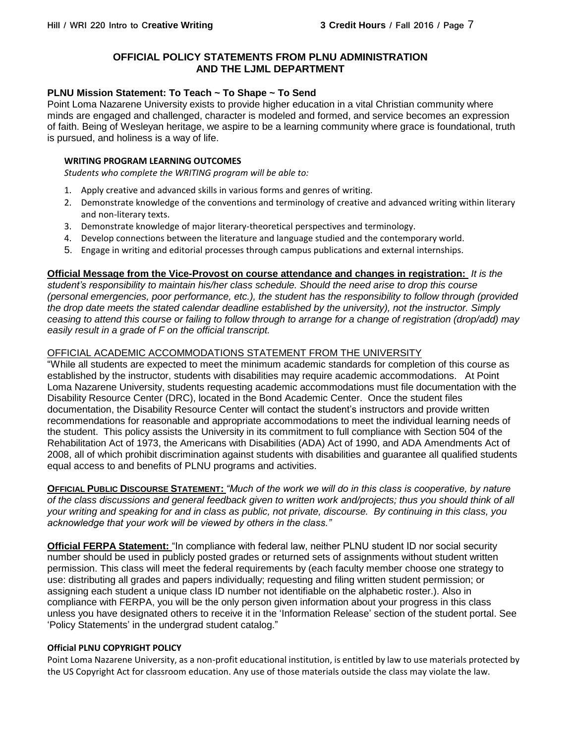## **OFFICIAL POLICY STATEMENTS FROM PLNU ADMINISTRATION AND THE LJML DEPARTMENT**

## **PLNU Mission Statement: To Teach ~ To Shape ~ To Send**

Point Loma Nazarene University exists to provide higher education in a vital Christian community where minds are engaged and challenged, character is modeled and formed, and service becomes an expression of faith. Being of Wesleyan heritage, we aspire to be a learning community where grace is foundational, truth is pursued, and holiness is a way of life.

#### **WRITING PROGRAM LEARNING OUTCOMES**

*Students who complete the WRITING program will be able to:*

- 1. Apply creative and advanced skills in various forms and genres of writing.
- 2. Demonstrate knowledge of the conventions and terminology of creative and advanced writing within literary and non-literary texts.
- 3. Demonstrate knowledge of major literary-theoretical perspectives and terminology.
- 4. Develop connections between the literature and language studied and the contemporary world.
- 5. Engage in writing and editorial processes through campus publications and external internships.

#### **Official Message from the Vice-Provost on course attendance and changes in registration:** *It is the*

*student's responsibility to maintain his/her class schedule. Should the need arise to drop this course (personal emergencies, poor performance, etc.), the student has the responsibility to follow through (provided the drop date meets the stated calendar deadline established by the university), not the instructor. Simply ceasing to attend this course or failing to follow through to arrange for a change of registration (drop/add) may easily result in a grade of F on the official transcript.*

## OFFICIAL ACADEMIC ACCOMMODATIONS STATEMENT FROM THE UNIVERSITY

"While all students are expected to meet the minimum academic standards for completion of this course as established by the instructor, students with disabilities may require academic accommodations. At Point Loma Nazarene University, students requesting academic accommodations must file documentation with the Disability Resource Center (DRC), located in the Bond Academic Center. Once the student files documentation, the Disability Resource Center will contact the student's instructors and provide written recommendations for reasonable and appropriate accommodations to meet the individual learning needs of the student. This policy assists the University in its commitment to full compliance with Section 504 of the Rehabilitation Act of 1973, the Americans with Disabilities (ADA) Act of 1990, and ADA Amendments Act of 2008, all of which prohibit discrimination against students with disabilities and guarantee all qualified students equal access to and benefits of PLNU programs and activities.

**OFFICIAL PUBLIC DISCOURSE STATEMENT:** *"Much of the work we will do in this class is cooperative, by nature of the class discussions and general feedback given to written work and/projects; thus you should think of all your writing and speaking for and in class as public, not private, discourse. By continuing in this class, you acknowledge that your work will be viewed by others in the class."*

**Official FERPA Statement:** "In compliance with federal law, neither PLNU student ID nor social security number should be used in publicly posted grades or returned sets of assignments without student written permission. This class will meet the federal requirements by (each faculty member choose one strategy to use: distributing all grades and papers individually; requesting and filing written student permission; or assigning each student a unique class ID number not identifiable on the alphabetic roster.). Also in compliance with FERPA, you will be the only person given information about your progress in this class unless you have designated others to receive it in the 'Information Release' section of the student portal. See 'Policy Statements' in the undergrad student catalog."

#### **Official PLNU COPYRIGHT POLICY**

Point Loma Nazarene University, as a non-profit educational institution, is entitled by law to use materials protected by the US Copyright Act for classroom education. Any use of those materials outside the class may violate the law.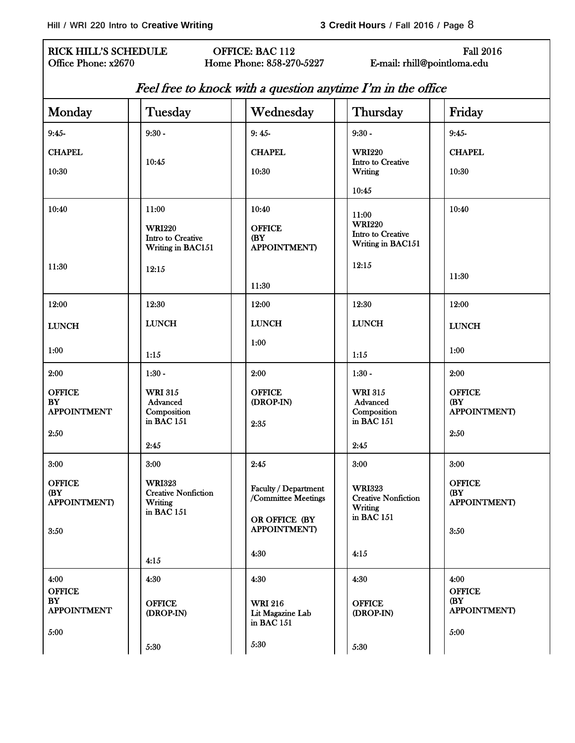5:30

## RICK HILL'S SCHEDULE **OFFICE: BAC 112** Fall 2016 Office Phone: x2670 Home Phone: 858-270-5227 E-mail: rhill@pointloma.edu

| Feel free to knock with a question anytime I'm in the office |                                                                          |                                                  |                                                        |                                              |
|--------------------------------------------------------------|--------------------------------------------------------------------------|--------------------------------------------------|--------------------------------------------------------|----------------------------------------------|
| Monday                                                       | Tuesday                                                                  | Wednesday                                        | Thursday                                               | Friday                                       |
| $9:45-$                                                      | $9:30 -$                                                                 | $9:45-$                                          | $9:30 -$                                               | $9:45-$                                      |
| <b>CHAPEL</b>                                                | 10:45                                                                    | <b>CHAPEL</b>                                    | <b>WRI220</b><br>Intro to Creative                     | <b>CHAPEL</b>                                |
| 10:30                                                        |                                                                          | 10:30                                            | Writing                                                | 10:30                                        |
|                                                              |                                                                          |                                                  | 10:45                                                  |                                              |
| 10:40                                                        | 11:00<br><b>WRI220</b>                                                   | 10:40<br><b>OFFICE</b>                           | 11:00<br><b>WRI220</b>                                 | 10:40                                        |
|                                                              | Intro to Creative<br>Writing in BAC151                                   | (BY<br><b>APPOINTMENT)</b>                       | Intro to Creative<br>Writing in BAC151                 |                                              |
| 11:30                                                        | 12:15                                                                    |                                                  | 12:15                                                  |                                              |
|                                                              |                                                                          | 11:30                                            |                                                        | 11:30                                        |
| 12:00                                                        | 12:30                                                                    | 12:00                                            | 12:30                                                  | 12:00                                        |
| ${\rm LUNCH}$                                                | <b>LUNCH</b>                                                             | <b>LUNCH</b>                                     | <b>LUNCH</b>                                           | <b>LUNCH</b>                                 |
| 1:00                                                         | 1:15                                                                     | 1:00                                             | 1:15                                                   | 1:00                                         |
| 2:00                                                         | $1:30 -$                                                                 | 2:00                                             | $1:30 -$                                               | 2:00                                         |
| <b>OFFICE</b><br><b>BY</b><br><b>APPOINTMENT</b>             | <b>WRI 315</b><br>Advanced<br>Composition                                | <b>OFFICE</b><br>(DROP-IN)                       | <b>WRI 315</b><br>Advanced<br>Composition              | <b>OFFICE</b><br>(BY<br><b>APPOINTMENT)</b>  |
| 2:50                                                         | in BAC 151                                                               | 2:35                                             | in BAC 151                                             | 2:50                                         |
|                                                              | 2:45                                                                     |                                                  | 2:45                                                   |                                              |
| 3:00                                                         | 3:00                                                                     | 2:45                                             | 3:00                                                   | 3:00                                         |
| <b>OFFICE</b><br>(BY<br><b>APPOINTMENT</b> )                 | <b>WRI323</b><br><b>Creative Nonfiction</b><br>Writing<br>in BAC $151\,$ | Faculty / Department<br>/Committee Meetings      | <b>WRI323</b><br><b>Creative Nonfiction</b><br>Writing | <b>OFFICE</b><br>(BY<br><b>APPOINTMENT</b> ) |
| 3:50                                                         |                                                                          | OR OFFICE (BY<br><b>APPOINTMENT)</b>             | in BAC 151                                             | 3:50                                         |
|                                                              | 4:15                                                                     | 4:30                                             | 4:15                                                   |                                              |
| 4:00                                                         | 4:30                                                                     | 4:30                                             | 4:30                                                   | 4:00                                         |
| <b>OFFICE</b><br>BY<br><b>APPOINTMENT</b>                    | <b>OFFICE</b><br>(DROP-IN)                                               | <b>WRI 216</b><br>Lit Magazine Lab<br>in BAC 151 | <b>OFFICE</b><br>(DROP-IN)                             | <b>OFFICE</b><br>(BY<br><b>APPOINTMENT</b> ) |
| 5:00                                                         |                                                                          |                                                  |                                                        | 5:00                                         |

5:30

5:30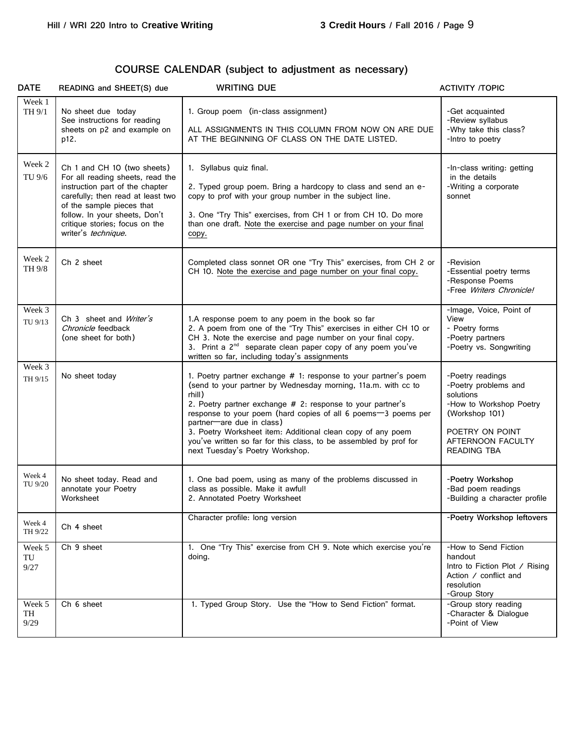# **COURSE CALENDAR (subject to adjustment as necessary)**

| <b>DATE</b>          | READING and SHEET(S) due                                                                                                                                                                                                                                       | <b>WRITING DUE</b>                                                                                                                                                                                                                                                                                                                                                                                                                                                            | <b>ACTIVITY /TOPIC</b>                                                                                                                                    |
|----------------------|----------------------------------------------------------------------------------------------------------------------------------------------------------------------------------------------------------------------------------------------------------------|-------------------------------------------------------------------------------------------------------------------------------------------------------------------------------------------------------------------------------------------------------------------------------------------------------------------------------------------------------------------------------------------------------------------------------------------------------------------------------|-----------------------------------------------------------------------------------------------------------------------------------------------------------|
| Week 1<br>TH 9/1     | No sheet due today<br>See instructions for reading<br>sheets on p2 and example on<br>p12.                                                                                                                                                                      | 1. Group poem (in-class assignment)<br>ALL ASSIGNMENTS IN THIS COLUMN FROM NOW ON ARE DUE<br>AT THE BEGINNING OF CLASS ON THE DATE LISTED.                                                                                                                                                                                                                                                                                                                                    | -Get acquainted<br>-Review syllabus<br>-Why take this class?<br>-Intro to poetry                                                                          |
| Week 2<br>TU 9/6     | Ch 1 and CH 10 (two sheets)<br>For all reading sheets, read the<br>instruction part of the chapter<br>carefully; then read at least two<br>of the sample pieces that<br>follow. In your sheets, Don't<br>critique stories; focus on the<br>writer's technique. | 1. Syllabus quiz final.<br>2. Typed group poem. Bring a hardcopy to class and send an e-<br>copy to prof with your group number in the subject line.<br>3. One "Try This" exercises, from CH 1 or from CH 10. Do more<br>than one draft. Note the exercise and page number on your final<br>copy.                                                                                                                                                                             | -In-class writing: getting<br>in the details<br>-Writing a corporate<br>sonnet                                                                            |
| Week 2<br>TH 9/8     | Ch 2 sheet                                                                                                                                                                                                                                                     | Completed class sonnet OR one "Try This" exercises, from CH 2 or<br>CH 10. Note the exercise and page number on your final copy.                                                                                                                                                                                                                                                                                                                                              | -Revision<br>-Essential poetry terms<br>-Response Poems<br>-Free Writers Chronicle!                                                                       |
| Week 3<br>TU 9/13    | Ch 3 sheet and <i>Writer's</i><br>Chronicle feedback<br>(one sheet for both)                                                                                                                                                                                   | 1.A response poem to any poem in the book so far<br>2. A poem from one of the "Try This" exercises in either CH 10 or<br>CH 3. Note the exercise and page number on your final copy.<br>3. Print a 2 <sup>nd</sup> separate clean paper copy of any poem you've<br>written so far, including today's assignments                                                                                                                                                              | -Image, Voice, Point of<br>View<br>- Poetry forms<br>-Poetry partners<br>-Poetry vs. Songwriting                                                          |
| Week 3<br>TH 9/15    | No sheet today                                                                                                                                                                                                                                                 | 1. Poetry partner exchange # 1: response to your partner's poem<br>(send to your partner by Wednesday morning, 11a.m. with cc to<br>rhill)<br>2. Poetry partner exchange # 2: response to your partner's<br>response to your poem (hard copies of all 6 poems-3 poems per<br>partner-are due in class)<br>3. Poetry Worksheet item: Additional clean copy of any poem<br>you've written so far for this class, to be assembled by prof for<br>next Tuesday's Poetry Workshop. | -Poetry readings<br>-Poetry problems and<br>solutions<br>-How to Workshop Poetry<br>(Workshop 101)<br>POETRY ON POINT<br>AFTERNOON FACULTY<br>READING TBA |
| Week 4<br>TU 9/20    | No sheet today. Read and<br>annotate your Poetry<br>Worksheet                                                                                                                                                                                                  | 1. One bad poem, using as many of the problems discussed in<br>class as possible. Make it awful!<br>2. Annotated Poetry Worksheet                                                                                                                                                                                                                                                                                                                                             | -Poetry Workshop<br>-Bad poem readings<br>-Building a character profile                                                                                   |
| Week 4<br>TH 9/22    | Ch 4 sheet                                                                                                                                                                                                                                                     | Character profile: long version                                                                                                                                                                                                                                                                                                                                                                                                                                               | -Poetry Workshop leftovers                                                                                                                                |
| Week 5<br>TU<br>9/27 | Ch 9 sheet                                                                                                                                                                                                                                                     | 1. One "Try This" exercise from CH 9. Note which exercise you're<br>doing.                                                                                                                                                                                                                                                                                                                                                                                                    | -How to Send Fiction<br>handout<br>Intro to Fiction Plot / Rising<br>Action / conflict and<br>resolution<br>-Group Story                                  |
| Week 5<br>TH<br>9/29 | Ch 6 sheet                                                                                                                                                                                                                                                     | 1. Typed Group Story. Use the "How to Send Fiction" format.                                                                                                                                                                                                                                                                                                                                                                                                                   | -Group story reading<br>-Character & Dialogue<br>-Point of View                                                                                           |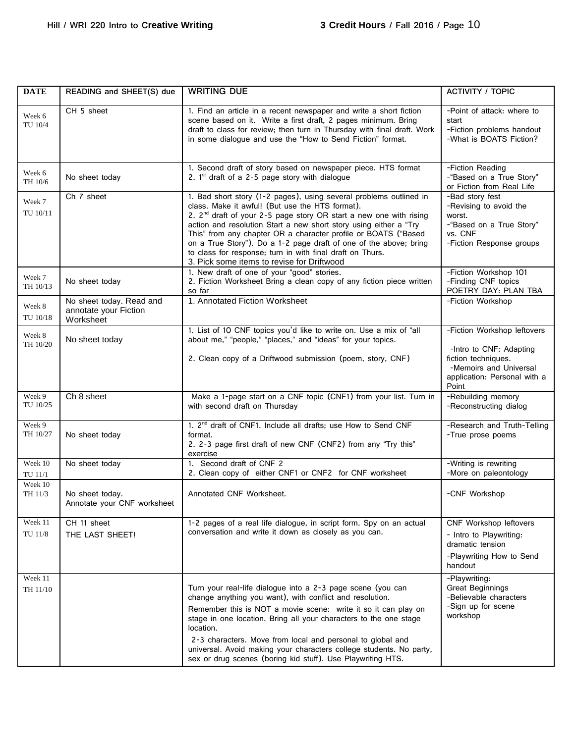| <b>DATE</b>         | READING and SHEET(S) due                                       | <b>WRITING DUE</b>                                                                                                                                                                                                                                                                                                                                                                                                                                                                                                             | <b>ACTIVITY / TOPIC</b>                                                                                                                          |
|---------------------|----------------------------------------------------------------|--------------------------------------------------------------------------------------------------------------------------------------------------------------------------------------------------------------------------------------------------------------------------------------------------------------------------------------------------------------------------------------------------------------------------------------------------------------------------------------------------------------------------------|--------------------------------------------------------------------------------------------------------------------------------------------------|
| Week 6<br>TU 10/4   | CH 5 sheet                                                     | 1. Find an article in a recent newspaper and write a short fiction<br>scene based on it. Write a first draft, 2 pages minimum. Bring<br>draft to class for review; then turn in Thursday with final draft. Work<br>in some dialogue and use the "How to Send Fiction" format.                                                                                                                                                                                                                                                  | -Point of attack: where to<br>start<br>-Fiction problems handout<br>-What is BOATS Fiction?                                                      |
| Week 6<br>TH 10/6   | No sheet today                                                 | 1. Second draft of story based on newspaper piece. HTS format<br>2. $1st$ draft of a 2-5 page story with dialogue                                                                                                                                                                                                                                                                                                                                                                                                              | -Fiction Reading<br>-"Based on a True Story"<br>or Fiction from Real Life                                                                        |
| Week 7<br>TU 10/11  | Ch 7 sheet                                                     | 1. Bad short story (1-2 pages), using several problems outlined in<br>class. Make it awful! (But use the HTS format).<br>2. 2 <sup>nd</sup> draft of your 2-5 page story OR start a new one with rising<br>action and resolution Start a new short story using either a "Try<br>This" from any chapter OR a character profile or BOATS ("Based<br>on a True Story"). Do a 1-2 page draft of one of the above; bring<br>to class for response; turn in with final draft on Thurs.<br>3. Pick some items to revise for Driftwood | -Bad story fest<br>-Revising to avoid the<br>worst.<br>-"Based on a True Story"<br>vs. CNF<br>-Fiction Response groups                           |
| Week 7<br>TH 10/13  | No sheet today                                                 | 1. New draft of one of your "good" stories.<br>2. Fiction Worksheet Bring a clean copy of any fiction piece written<br>so far                                                                                                                                                                                                                                                                                                                                                                                                  | -Fiction Workshop 101<br>-Finding CNF topics<br>POETRY DAY: PLAN TBA                                                                             |
| Week 8<br>TU 10/18  | No sheet today. Read and<br>annotate your Fiction<br>Worksheet | 1. Annotated Fiction Worksheet                                                                                                                                                                                                                                                                                                                                                                                                                                                                                                 | -Fiction Workshop                                                                                                                                |
| Week 8<br>TH 10/20  | No sheet today                                                 | 1. List of 10 CNF topics you'd like to write on. Use a mix of "all<br>about me," "people," "places," and "ideas" for your topics.<br>2. Clean copy of a Driftwood submission (poem, story, CNF)                                                                                                                                                                                                                                                                                                                                | -Fiction Workshop leftovers<br>-Intro to CNF: Adapting<br>fiction techniques.<br>-Memoirs and Universal<br>application: Personal with a<br>Point |
| Week 9<br>TU 10/25  | Ch 8 sheet                                                     | Make a 1-page start on a CNF topic (CNF1) from your list. Turn in<br>with second draft on Thursday                                                                                                                                                                                                                                                                                                                                                                                                                             | -Rebuilding memory<br>-Reconstructing dialog                                                                                                     |
| Week 9<br>TH 10/27  | No sheet today                                                 | 1. 2 <sup>nd</sup> draft of CNF1. Include all drafts; use How to Send CNF<br>format.<br>2. 2-3 page first draft of new CNF (CNF2) from any "Try this"<br>exercise                                                                                                                                                                                                                                                                                                                                                              | -Research and Truth-Telling<br>-True prose poems                                                                                                 |
| Week 10<br>TU 11/1  | No sheet today                                                 | 1. Second draft of CNF 2<br>2. Clean copy of either CNF1 or CNF2 for CNF worksheet                                                                                                                                                                                                                                                                                                                                                                                                                                             | -Writing is rewriting<br>-More on paleontology                                                                                                   |
| Week 10<br>TH 11/3  | No sheet today.<br>Annotate your CNF worksheet                 | Annotated CNF Worksheet.                                                                                                                                                                                                                                                                                                                                                                                                                                                                                                       | -CNF Workshop                                                                                                                                    |
| Week 11<br>TU 11/8  | CH 11 sheet<br>THE LAST SHEET!                                 | 1-2 pages of a real life dialogue, in script form. Spy on an actual<br>conversation and write it down as closely as you can.                                                                                                                                                                                                                                                                                                                                                                                                   | CNF Workshop leftovers<br>- Intro to Playwriting:<br>dramatic tension<br>-Playwriting How to Send<br>handout                                     |
| Week 11<br>TH 11/10 |                                                                | Turn your real-life dialogue into a 2-3 page scene (you can<br>change anything you want), with conflict and resolution.<br>Remember this is NOT a movie scene: write it so it can play on<br>stage in one location. Bring all your characters to the one stage<br>location.<br>2-3 characters. Move from local and personal to global and<br>universal. Avoid making your characters college students. No party,<br>sex or drug scenes (boring kid stuff). Use Playwriting HTS.                                                | -Playwriting:<br><b>Great Beginnings</b><br>-Believable characters<br>-Sign up for scene<br>workshop                                             |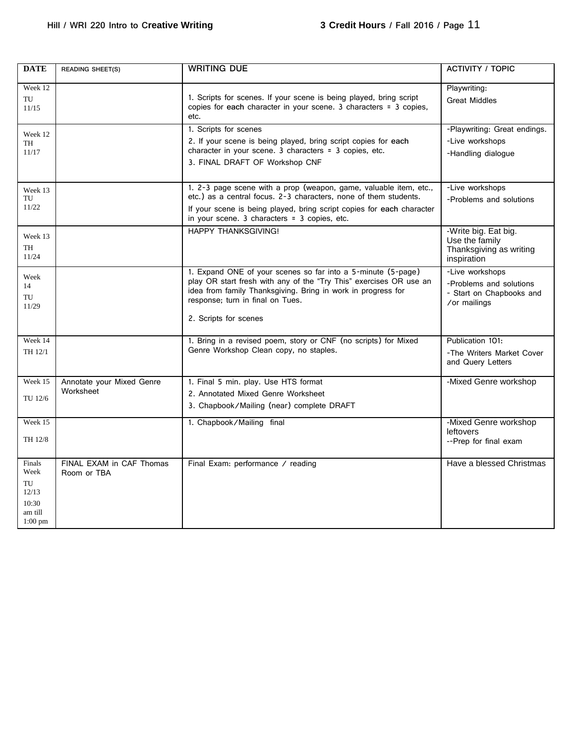| <b>DATE</b>                                                    | <b>READING SHEET(S)</b>                 | <b>WRITING DUE</b>                                                                                                                                                                                                                                              | <b>ACTIVITY / TOPIC</b>                                                                |
|----------------------------------------------------------------|-----------------------------------------|-----------------------------------------------------------------------------------------------------------------------------------------------------------------------------------------------------------------------------------------------------------------|----------------------------------------------------------------------------------------|
| Week 12<br>TU<br>11/15                                         |                                         | 1. Scripts for scenes. If your scene is being played, bring script<br>copies for each character in your scene. 3 characters = 3 copies,<br>etc.                                                                                                                 | Playwriting:<br><b>Great Middles</b>                                                   |
| Week 12<br>TH<br>11/17                                         |                                         | 1. Scripts for scenes<br>2. If your scene is being played, bring script copies for each<br>character in your scene. 3 characters = 3 copies, etc.<br>3. FINAL DRAFT OF Workshop CNF                                                                             | -Playwriting: Great endings.<br>-Live workshops<br>-Handling dialogue                  |
| Week 13<br>TU<br>11/22                                         |                                         | 1. 2-3 page scene with a prop (weapon, game, valuable item, etc.,<br>etc.) as a central focus. 2-3 characters, none of them students.<br>If your scene is being played, bring script copies for each character<br>in your scene. 3 characters = 3 copies, etc.  | -Live workshops<br>-Problems and solutions                                             |
| Week 13<br>TH<br>11/24                                         |                                         | <b>HAPPY THANKSGIVING!</b>                                                                                                                                                                                                                                      | -Write big. Eat big.<br>Use the family<br>Thanksgiving as writing<br>inspiration       |
| Week<br>14<br>TU<br>11/29                                      |                                         | 1. Expand ONE of your scenes so far into a 5-minute (5-page)<br>play OR start fresh with any of the "Try This" exercises OR use an<br>idea from family Thanksgiving. Bring in work in progress for<br>response; turn in final on Tues.<br>2. Scripts for scenes | -Live workshops<br>-Problems and solutions<br>- Start on Chapbooks and<br>/or mailings |
| Week 14<br>TH 12/1                                             |                                         | 1. Bring in a revised poem, story or CNF (no scripts) for Mixed<br>Genre Workshop Clean copy, no staples.                                                                                                                                                       | Publication 101:<br>-The Writers Market Cover<br>and Query Letters                     |
| Week 15<br>TU 12/6                                             | Annotate your Mixed Genre<br>Worksheet  | 1. Final 5 min. play. Use HTS format<br>2. Annotated Mixed Genre Worksheet<br>3. Chapbook/Mailing (near) complete DRAFT                                                                                                                                         | -Mixed Genre workshop                                                                  |
| Week 15<br>TH 12/8                                             |                                         | 1. Chapbook/Mailing final                                                                                                                                                                                                                                       | -Mixed Genre workshop<br>leftovers<br>--Prep for final exam                            |
| Finals<br>Week<br>TU<br>12/13<br>10:30<br>am till<br>$1:00$ pm | FINAL EXAM in CAF Thomas<br>Room or TBA | Final Exam: performance / reading                                                                                                                                                                                                                               | Have a blessed Christmas                                                               |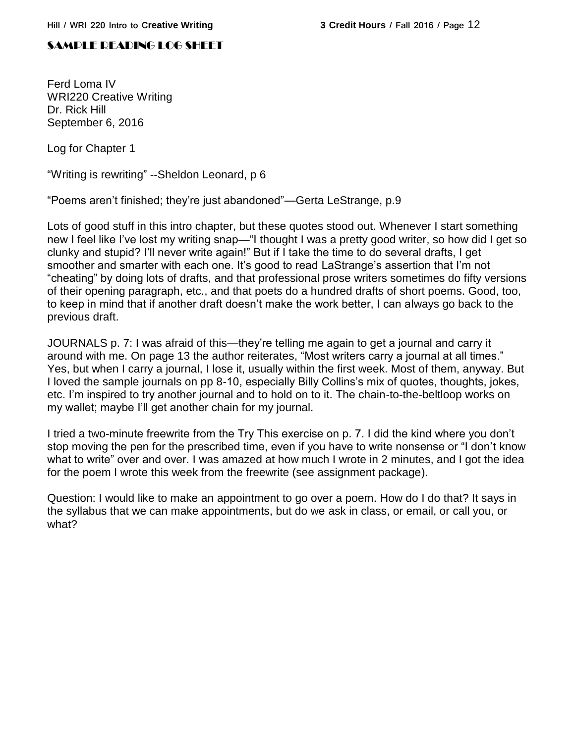# SAMPLE READING LOG SHEET

Ferd Loma IV WRI220 Creative Writing Dr. Rick Hill September 6, 2016

Log for Chapter 1

"Writing is rewriting" --Sheldon Leonard, p 6

"Poems aren't finished; they're just abandoned"—Gerta LeStrange, p.9

Lots of good stuff in this intro chapter, but these quotes stood out. Whenever I start something new I feel like I've lost my writing snap—"I thought I was a pretty good writer, so how did I get so clunky and stupid? I'll never write again!" But if I take the time to do several drafts, I get smoother and smarter with each one. It's good to read LaStrange's assertion that I'm not "cheating" by doing lots of drafts, and that professional prose writers sometimes do fifty versions of their opening paragraph, etc., and that poets do a hundred drafts of short poems. Good, too, to keep in mind that if another draft doesn't make the work better, I can always go back to the previous draft.

JOURNALS p. 7: I was afraid of this—they're telling me again to get a journal and carry it around with me. On page 13 the author reiterates, "Most writers carry a journal at all times." Yes, but when I carry a journal, I lose it, usually within the first week. Most of them, anyway. But I loved the sample journals on pp 8-10, especially Billy Collins's mix of quotes, thoughts, jokes, etc. I'm inspired to try another journal and to hold on to it. The chain-to-the-beltloop works on my wallet; maybe I'll get another chain for my journal.

I tried a two-minute freewrite from the Try This exercise on p. 7. I did the kind where you don't stop moving the pen for the prescribed time, even if you have to write nonsense or "I don't know what to write" over and over. I was amazed at how much I wrote in 2 minutes, and I got the idea for the poem I wrote this week from the freewrite (see assignment package).

Question: I would like to make an appointment to go over a poem. How do I do that? It says in the syllabus that we can make appointments, but do we ask in class, or email, or call you, or what?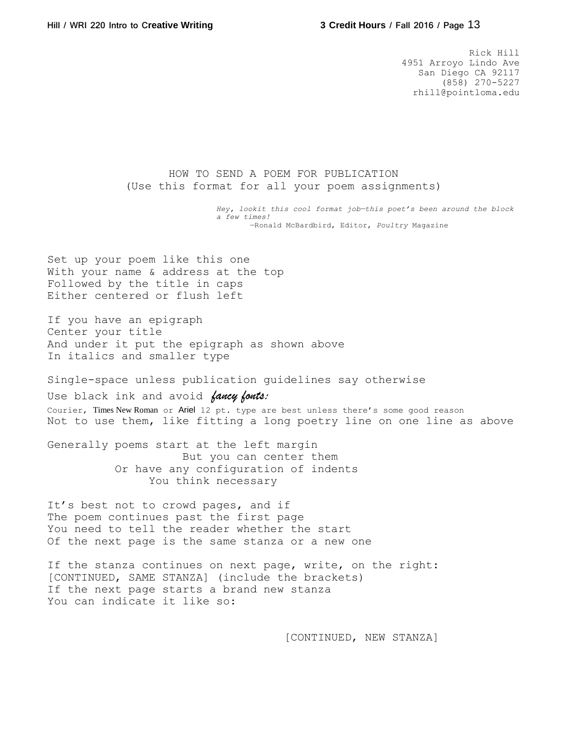Rick Hill 4951 Arroyo Lindo Ave San Diego CA 92117 (858) 270-5227 rhill@pointloma.edu

HOW TO SEND A POEM FOR PUBLICATION (Use this format for all your poem assignments)

> *Hey, lookit this cool format job—this poet's been around the block a few times!* —Ronald McBardbird, Editor, *Poultry* Magazine

Set up your poem like this one With your name & address at the top Followed by the title in caps Either centered or flush left

If you have an epigraph Center your title And under it put the epigraph as shown above In italics and smaller type

Single-space unless publication guidelines say otherwise

Use black ink and avoid *fancy fonts:* Courier, Times New Roman or Ariel 12 pt. type are best unless there's some good reason Not to use them, like fitting a long poetry line on one line as above

Generally poems start at the left margin But you can center them Or have any configuration of indents You think necessary

It's best not to crowd pages, and if The poem continues past the first page You need to tell the reader whether the start Of the next page is the same stanza or a new one

If the stanza continues on next page, write, on the right: [CONTINUED, SAME STANZA] (include the brackets) If the next page starts a brand new stanza You can indicate it like so:

[CONTINUED, NEW STANZA]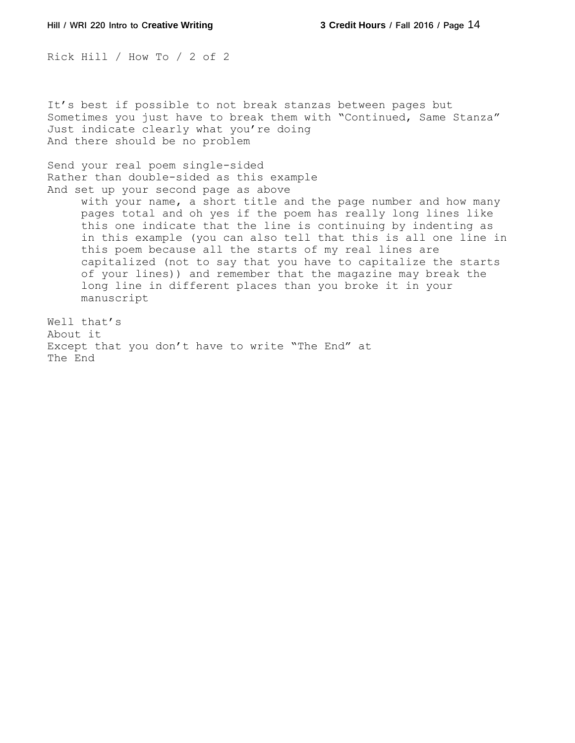Rick Hill / How To / 2 of 2

It's best if possible to not break stanzas between pages but Sometimes you just have to break them with "Continued, Same Stanza" Just indicate clearly what you're doing And there should be no problem

Send your real poem single-sided Rather than double-sided as this example And set up your second page as above

> with your name, a short title and the page number and how many pages total and oh yes if the poem has really long lines like this one indicate that the line is continuing by indenting as in this example (you can also tell that this is all one line in this poem because all the starts of my real lines are capitalized (not to say that you have to capitalize the starts of your lines)) and remember that the magazine may break the long line in different places than you broke it in your manuscript

Well that's About it Except that you don't have to write "The End" at The End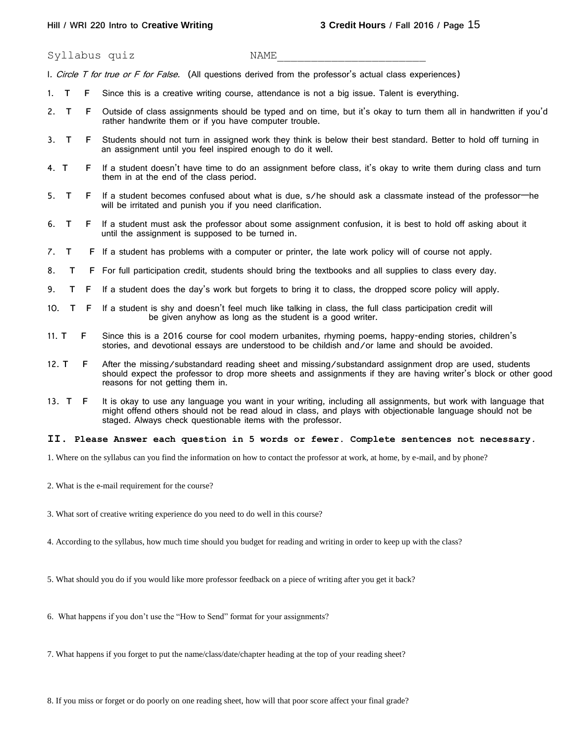Syllabus quiz NAME

I. Circle T for true or F for False. (All questions derived from the professor's actual class experiences)

- 1. **T F** Since this is a creative writing course, attendance is not a big issue. Talent is everything.
- 2. **T F** Outside of class assignments should be typed and on time, but it's okay to turn them all in handwritten if you'd rather handwrite them or if you have computer trouble.
- 3. **T F** Students should not turn in assigned work they think is below their best standard. Better to hold off turning in an assignment until you feel inspired enough to do it well.
- 4. **T F** If a student doesn't have time to do an assignment before class, it's okay to write them during class and turn them in at the end of the class period.
- 5. **T F** If a student becomes confused about what is due, s/he should ask a classmate instead of the professor—he will be irritated and punish you if you need clarification.
- 6. **T F** If a student must ask the professor about some assignment confusion, it is best to hold off asking about it until the assignment is supposed to be turned in.
- 7. **T F** If a student has problems with a computer or printer, the late work policy will of course not apply.
- 8. **T F** For full participation credit, students should bring the textbooks and all supplies to class every day.
- 9. **T F** If a student does the day's work but forgets to bring it to class, the dropped score policy will apply.
- 10. **T F** If a student is shy and doesn't feel much like talking in class, the full class participation credit will be given anyhow as long as the student is a good writer.
- 11. **T F** Since this is a 2016 course for cool modern urbanites, rhyming poems, happy-ending stories, children's stories, and devotional essays are understood to be childish and/or lame and should be avoided.
- 12. **T F** After the missing/substandard reading sheet and missing/substandard assignment drop are used, students should expect the professor to drop more sheets and assignments if they are having writer's block or other good reasons for not getting them in.
- 13. **T F** It is okay to use any language you want in your writing, including all assignments, but work with language that might offend others should not be read aloud in class, and plays with objectionable language should not be staged. Always check questionable items with the professor.

#### **II**. **Please Answer each question in 5 words or fewer. Complete sentences not necessary***.*

1. Where on the syllabus can you find the information on how to contact the professor at work, at home, by e-mail, and by phone?

- 2. What is the e-mail requirement for the course?
- 3. What sort of creative writing experience do you need to do well in this course?
- 4. According to the syllabus, how much time should you budget for reading and writing in order to keep up with the class?
- 5. What should you do if you would like more professor feedback on a piece of writing after you get it back?
- 6. What happens if you don't use the "How to Send" format for your assignments?
- 7. What happens if you forget to put the name/class/date/chapter heading at the top of your reading sheet?